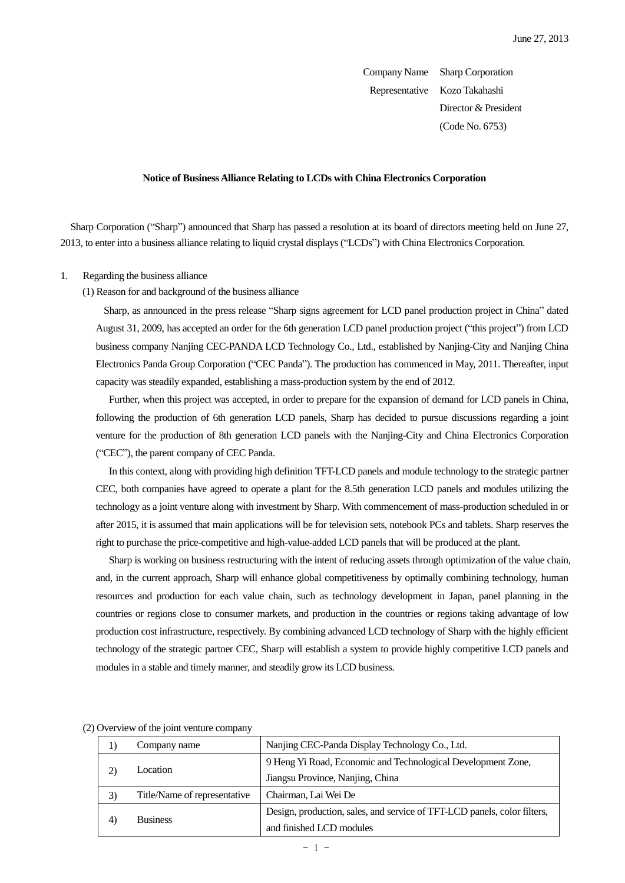Company Name Sharp Corporation Representative Kozo Takahashi Director & President (Code No. 6753)

### **Notice of Business Alliance Relating to LCDs with China Electronics Corporation**

Sharp Corporation ("Sharp") announced that Sharp has passed a resolution at its board of directors meeting held on June 27, 2013, to enter into a business alliance relating to liquid crystal displays ("LCDs") with China Electronics Corporation.

#### 1. Regarding the business alliance

### (1) Reason for and background of the business alliance

Sharp, as announced in the press release "Sharp signs agreement for LCD panel production project in China" dated August 31, 2009, has accepted an order for the 6th generation LCD panel production project ("this project") from LCD business company Nanjing CEC-PANDA LCD Technology Co., Ltd., established by Nanjing-City and Nanjing China Electronics Panda Group Corporation ("CEC Panda"). The production has commenced in May, 2011. Thereafter, input capacity was steadily expanded, establishing a mass-production system by the end of 2012.

Further, when this project was accepted, in order to prepare for the expansion of demand for LCD panels in China, following the production of 6th generation LCD panels, Sharp has decided to pursue discussions regarding a joint venture for the production of 8th generation LCD panels with the Nanjing-City and China Electronics Corporation ("CEC"), the parent company of CEC Panda.

In this context, along with providing high definition TFT-LCD panels and module technology to the strategic partner CEC, both companies have agreed to operate a plant for the 8.5th generation LCD panels and modules utilizing the technology as a joint venture along with investment by Sharp. With commencement of mass-production scheduled in or after 2015, it is assumed that main applications will be for television sets, notebook PCs and tablets. Sharp reserves the right to purchase the price-competitive and high-value-added LCD panels that will be produced at the plant.

Sharp is working on business restructuring with the intent of reducing assets through optimization of the value chain, and, in the current approach, Sharp will enhance global competitiveness by optimally combining technology, human resources and production for each value chain, such as technology development in Japan, panel planning in the countries or regions close to consumer markets, and production in the countries or regions taking advantage of low production cost infrastructure, respectively. By combining advanced LCD technology of Sharp with the highly efficient technology of the strategic partner CEC, Sharp will establish a system to provide highly competitive LCD panels and modules in a stable and timely manner, and steadily grow its LCD business.

|    | Company name                 | Nanjing CEC-Panda Display Technology Co., Ltd.                           |  |  |
|----|------------------------------|--------------------------------------------------------------------------|--|--|
|    | Location                     | 9 Heng Yi Road, Economic and Technological Development Zone,             |  |  |
|    |                              | Jiangsu Province, Nanjing, China                                         |  |  |
| 3) | Title/Name of representative | Chairman, Lai Wei De                                                     |  |  |
|    | <b>Business</b>              | Design, production, sales, and service of TFT-LCD panels, color filters, |  |  |
| 4  |                              | and finished LCD modules                                                 |  |  |

(2) Overview of the joint venture company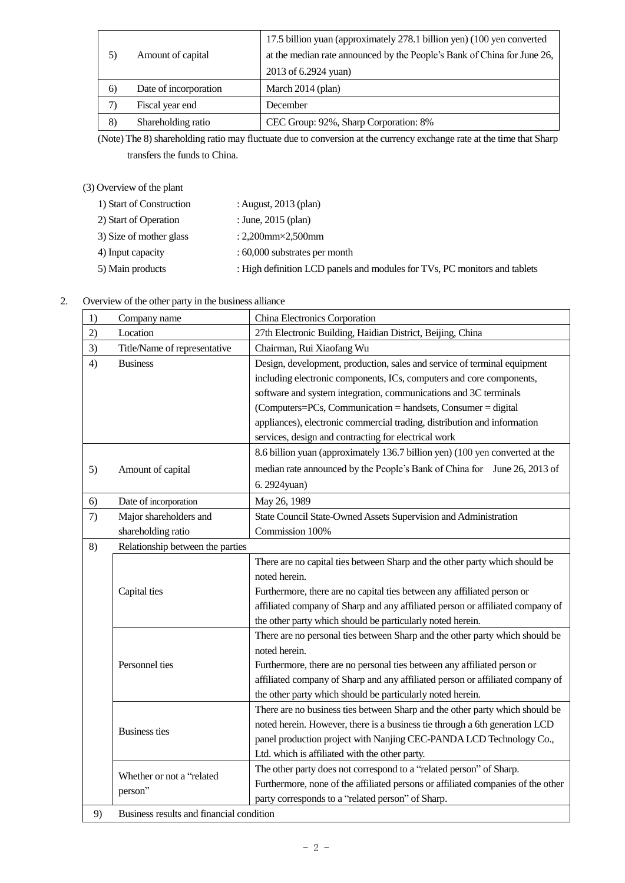|    | Amount of capital     | 17.5 billion yuan (approximately 278.1 billion yen) (100 yen converted  |  |
|----|-----------------------|-------------------------------------------------------------------------|--|
| 5) |                       | at the median rate announced by the People's Bank of China for June 26, |  |
|    |                       | 2013 of 6.2924 yuan)                                                    |  |
| 6) | Date of incorporation | March 2014 (plan)                                                       |  |
| 7) | Fiscal year end       | December                                                                |  |
| 8) | Shareholding ratio    | CEC Group: 92%, Sharp Corporation: 8%                                   |  |

(Note) The 8) shareholding ratio may fluctuate due to conversion at the currency exchange rate at the time that Sharp transfers the funds to China.

# (3) Overview of the plant

| 1) Start of Construction | : August, $2013$ (plan)                                                   |
|--------------------------|---------------------------------------------------------------------------|
| 2) Start of Operation    | : June, $2015$ (plan)                                                     |
| 3) Size of mother glass  | : 2,200 $mm \times 2,500$ $mm$                                            |
| 4) Input capacity        | : 60,000 substrates per month                                             |
| 5) Main products         | : High definition LCD panels and modules for TVs, PC monitors and tablets |

| 2. | Overview of the other party in the business alliance |  |  |
|----|------------------------------------------------------|--|--|
|    |                                                      |  |  |
|    |                                                      |  |  |

| 1)                                                           | Company name                             | China Electronics Corporation                                                    |  |  |
|--------------------------------------------------------------|------------------------------------------|----------------------------------------------------------------------------------|--|--|
| 2)                                                           | Location                                 | 27th Electronic Building, Haidian District, Beijing, China                       |  |  |
| 3)                                                           | Title/Name of representative             | Chairman, Rui Xiaofang Wu                                                        |  |  |
| 4)                                                           | <b>Business</b>                          | Design, development, production, sales and service of terminal equipment         |  |  |
|                                                              |                                          | including electronic components, ICs, computers and core components,             |  |  |
|                                                              |                                          | software and system integration, communications and 3C terminals                 |  |  |
|                                                              |                                          | (Computers=PCs, Communication = handsets, Consumer = digital                     |  |  |
|                                                              |                                          | appliances), electronic commercial trading, distribution and information         |  |  |
|                                                              |                                          | services, design and contracting for electrical work                             |  |  |
|                                                              |                                          | 8.6 billion yuan (approximately 136.7 billion yen) (100 yen converted at the     |  |  |
| 5)                                                           | Amount of capital                        | median rate announced by the People's Bank of China for June 26, 2013 of         |  |  |
|                                                              |                                          | 6. 2924yuan)                                                                     |  |  |
| 6)                                                           | Date of incorporation                    | May 26, 1989                                                                     |  |  |
| 7)                                                           | Major shareholders and                   | State Council State-Owned Assets Supervision and Administration                  |  |  |
|                                                              | shareholding ratio                       | Commission 100%                                                                  |  |  |
| 8)                                                           | Relationship between the parties         |                                                                                  |  |  |
|                                                              |                                          | There are no capital ties between Sharp and the other party which should be      |  |  |
|                                                              | Capital ties                             | noted herein.                                                                    |  |  |
|                                                              |                                          | Furthermore, there are no capital ties between any affiliated person or          |  |  |
|                                                              |                                          | affiliated company of Sharp and any affiliated person or affiliated company of   |  |  |
|                                                              |                                          | the other party which should be particularly noted herein.                       |  |  |
|                                                              |                                          | There are no personal ties between Sharp and the other party which should be     |  |  |
|                                                              | Personnel ties                           | noted herein.                                                                    |  |  |
|                                                              |                                          | Furthermore, there are no personal ties between any affiliated person or         |  |  |
|                                                              |                                          | affiliated company of Sharp and any affiliated person or affiliated company of   |  |  |
|                                                              |                                          | the other party which should be particularly noted herein.                       |  |  |
|                                                              |                                          | There are no business ties between Sharp and the other party which should be     |  |  |
|                                                              |                                          | noted herein. However, there is a business tie through a 6th generation LCD      |  |  |
|                                                              | <b>Business ties</b>                     | panel production project with Nanjing CEC-PANDA LCD Technology Co.,              |  |  |
|                                                              |                                          | Ltd. which is affiliated with the other party.                                   |  |  |
|                                                              | Whether or not a "related                | The other party does not correspond to a "related person" of Sharp.              |  |  |
|                                                              |                                          | Furthermore, none of the affiliated persons or affiliated companies of the other |  |  |
| person"<br>party corresponds to a "related person" of Sharp. |                                          |                                                                                  |  |  |
| 9)                                                           | Business results and financial condition |                                                                                  |  |  |